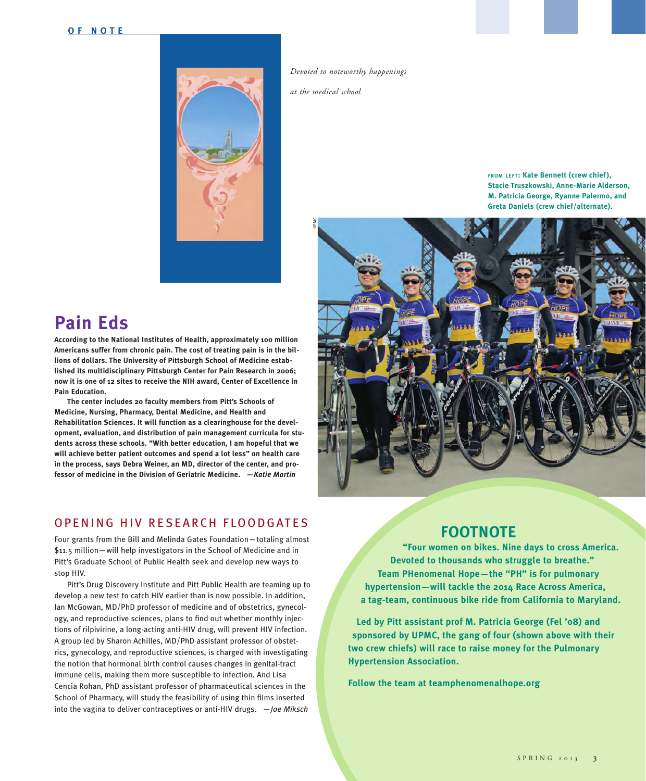

*Devoted to noteworthy happenings* 

*at the medical school* 

**from LEFT: Kate Bennett (crew chief), Stacie Truszkowski, Anne-Marie Alderson, M. Patricia George, Ryanne Palermo, and Greta Daniels (crew chief/alternate).**



## **Pain Eds**

**According to the National Institutes of Health, approximately 100 million Americans suffer from chronic pain. The cost of treating pain is in the billions of dollars. The University of Pittsburgh School of Medicine established its multidisciplinary Pittsburgh Center for Pain Research in 2006; now it is one of 12 sites to receive the NIH award, Center of Excellence in Pain Education.**

**The center includes 20 faculty members from Pitt's Schools of Medicine, Nursing, Pharmacy, Dental Medicine, and Health and Rehabilitation Sciences. It will function as a clearinghouse for the development, evaluation, and distribution of pain management curricula for students across these schools. "With better education, I am hopeful that we will achieve better patient outcomes and spend a lot less" on health care in the process, says Debra Weiner, an MD, director of the center, and professor of medicine in the Division of Geriatric Medicine.** *—Katie Martin*

### OPENING HIV RESEARCH FLOODGATES

Four grants from the Bill and Melinda Gates Foundation—totaling almost \$11.5 million—will help investigators in the School of Medicine and in Pitt's Graduate School of Public Health seek and develop new ways to stop HIV.

Pitt's Drug Discovery Institute and Pitt Public Health are teaming up to develop a new test to catch HIV earlier than is now possible. In addition, Ian McGowan, MD/PhD professor of medicine and of obstetrics, gynecology, and reproductive sciences, plans to find out whether monthly injections of rilpivirine, a long-acting anti-HIV drug, will prevent HIV infection. A group led by Sharon Achilles, MD/PhD assistant professor of obstetrics, gynecology, and reproductive sciences, is charged with investigating the notion that hormonal birth control causes changes in genital-tract immune cells, making them more susceptible to infection. And Lisa Cencia Rohan, PhD assistant professor of pharmaceutical sciences in the School of Pharmacy, will study the feasibility of using thin films inserted into the vagina to deliver contraceptives or anti-HIV drugs. —*Joe Miksch*

**FOOTNOTE**<br>
"Four women on bikes. Nine days to cross Am<br>
Devoted to thousands who struggle to breathe."<br>
Team PHenomenal Hope—the "PH" is for pulmonary<br>
hypertension—will tackle the 2014 Race Across Americ<br>
a tag-team, con  **"Four women on bikes. Nine days to cross America. Devoted to thousands who struggle to breathe." Team PHenomenal Hope—the "PH" is for pulmonary hypertension—will tackle the 2014 Race Across America, a tag-team, continuous bike ride from California to Maryland.**

 **Led by Pitt assistant prof M. Patricia George (Fel '08) and sponsored by UPMC, the gang of four (shown above with their two crew chiefs) will race to raise money for the Pulmonary Hypertension Association.** 

 **Follow the team at teamphenomenalhope.org**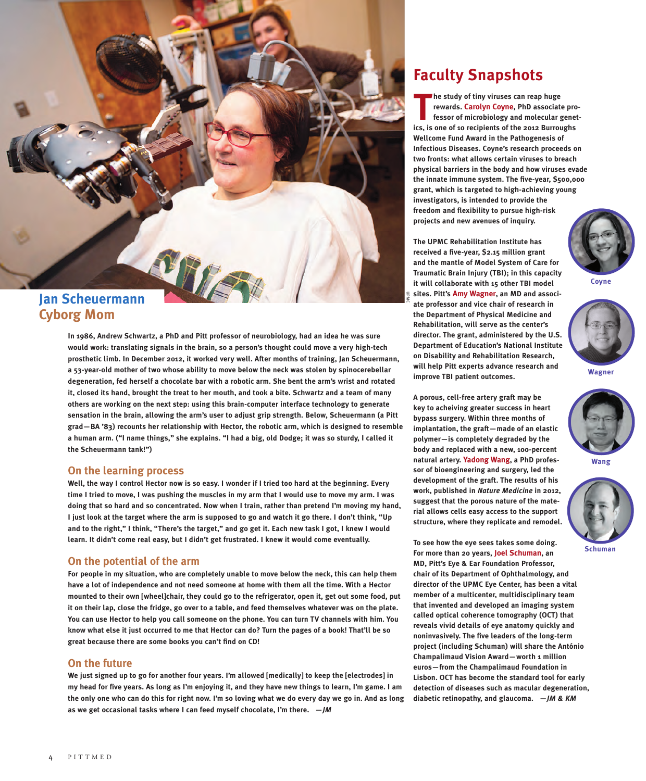

# **Cyborg Mom**

**In 1986, Andrew Schwartz, a PhD and Pitt professor of neurobiology, had an idea he was sure would work: translating signals in the brain, so a person's thought could move a very high-tech prosthetic limb. In December 2012, it worked very well. After months of training, Jan Scheuermann, a 53-year-old mother of two whose ability to move below the neck was stolen by spinocerebellar degeneration, fed herself a chocolate bar with a robotic arm. She bent the arm's wrist and rotated it, closed its hand, brought the treat to her mouth, and took a bite. Schwartz and a team of many others are working on the next step: using this brain-computer interface technology to generate sensation in the brain, allowing the arm's user to adjust grip strength. Below, Scheuermann (a Pitt grad—BA '83) recounts her relationship with Hector, the robotic arm, which is designed to resemble a human arm. ("I name things," she explains. "I had a big, old Dodge; it was so sturdy, I called it the Scheuermann tank!")**

#### **On the learning process**

**Well, the way I control Hector now is so easy. I wonder if I tried too hard at the beginning. Every time I tried to move, I was pushing the muscles in my arm that I would use to move my arm. I was doing that so hard and so concentrated. Now when I train, rather than pretend I'm moving my hand, I just look at the target where the arm is supposed to go and watch it go there. I don't think, "Up and to the right," I think, "There's the target," and go get it. Each new task I got, I knew I would learn. It didn't come real easy, but I didn't get frustrated. I knew it would come eventually.**

#### **On the potential of the arm**

**For people in my situation, who are completely unable to move below the neck, this can help them have a lot of independence and not need someone at home with them all the time. With a Hector mounted to their own [wheel]chair, they could go to the refrigerator, open it, get out some food, put it on their lap, close the fridge, go over to a table, and feed themselves whatever was on the plate. You can use Hector to help you call someone on the phone. You can turn TV channels with him. You know what else it just occurred to me that Hector can do? Turn the pages of a book! That'll be so great because there are some books you can't find on CD!** 

#### **On the future**

**We just signed up to go for another four years. I'm allowed [medically] to keep the [electrodes] in my head for five years. As long as I'm enjoying it, and they have new things to learn, I'm game. I am the only one who can do this for right now. I'm so loving what we do every day we go in. And as long as we get occasional tasks where I can feed myself chocolate, I'm there.** *—JM*

### **Faculty Snapshots**

**The study of tiny viruses can reap huge<br>
rewards. Carolyn Coyne, PhD associate pro<br>
fessor of microbiology and molecular genet<br>
ics, is one of 10 recipients of the 2012 Burroughs he study of tiny viruses can reap huge rewards. Carolyn Coyne, PhD associate professor of microbiology and molecular genet-Wellcome Fund Award in the Pathogenesis of Infectious Diseases. Coyne's research proceeds on two fronts: what allows certain viruses to breach physical barriers in the body and how viruses evade the innate immune system. The five-year, \$500,000 grant, which is targeted to high-achieving young investigators, is intended to provide the freedom and flexibility to pursue high-risk projects and new avenues of inquiry.** 

**The UPMC Rehabilitation Institute has received a five-year, \$2.15 million grant and the mantle of Model System of Care for Traumatic Brain Injury (TBI); in this capacity it will collaborate with 15 other TBI model sites. Pitt's Amy Wagner, an MD and associate professor and vice chair of research in the Department of Physical Medicine and Rehabilitation, will serve as the center's director. The grant, administered by the U.S. Department of Education's National Institute on Disability and Rehabilitation Research, will help Pitt experts advance research and improve TBI patient outcomes.** 

UPMC

**A porous, cell-free artery graft may be key to acheiving greater success in heart bypass surgery. Within three months of implantation, the graft—made of an elastic polymer—is completely degraded by the body and replaced with a new, 100-percent natural artery. Yadong Wang, a PhD professor of bioengineering and surgery, led the development of the graft. The results of his work, published in** *Nature Medicine* **in 2012, suggest that the porous nature of the material allows cells easy access to the support structure, where they replicate and remodel.** 

**Coyne**



**Wagner**



**Wang**



**Schuman**

**To see how the eye sees takes some doing. For more than 20 years, Joel Schuman, an MD, Pitt's Eye & Ear Foundation Professor, chair of its Department of Ophthalmology, and director of the UPMC Eye Center, has been a vital member of a multicenter, multidisciplinary team that invented and developed an imaging system called optical coherence tomography (OCT) that reveals vivid details of eye anatomy quickly and noninvasively. The five leaders of the long-term project (including Schuman) will share the António Champalimaud Vision Award—worth 1 million euros—from the Champalimaud Foundation in Lisbon. OCT has become the standard tool for early detection of diseases such as macular degeneration, diabetic retinopathy, and glaucoma.** *—JM & KM*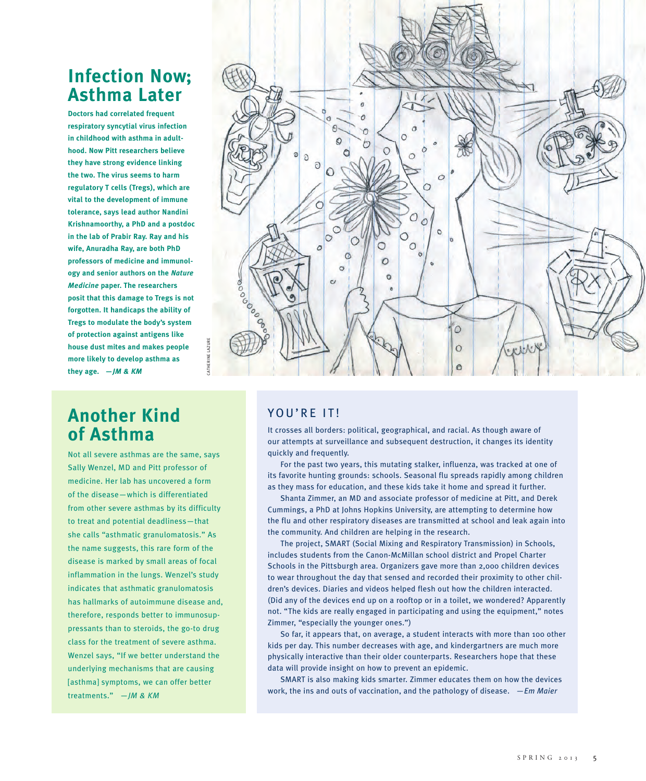### **Infection Now; Asthma Later**

**Doctors had correlated frequent respiratory syncytial virus infection in childhood with asthma in adulthood. Now Pitt researchers believe they have strong evidence linking the two. The virus seems to harm regulatory T cells (Tregs), which are vital to the development of immune tolerance, says lead author Nandini Krishnamoorthy, a PhD and a postdoc in the lab of Prabir Ray. Ray and his wife, Anuradha Ray, are both PhD professors of medicine and immunology and senior authors on the** *Nature Medicine* **paper. The researchers posit that this damage to Tregs is not forgotten. It handicaps the ability of Tregs to modulate the body's system of protection against antigens like house dust mites and makes people more likely to develop asthma as they age. —***JM & KM*



### **Another Kind of Asthma**

Not all severe asthmas are the same, says Sally Wenzel, MD and Pitt professor of medicine. Her lab has uncovered a form of the disease—which is differentiated from other severe asthmas by its difficulty to treat and potential deadliness—that she calls "asthmatic granulomatosis." As the name suggests, this rare form of the disease is marked by small areas of focal inflammation in the lungs. Wenzel's study indicates that asthmatic granulomatosis has hallmarks of autoimmune disease and, therefore, responds better to immunosuppressants than to steroids, the go-to drug class for the treatment of severe asthma. Wenzel says, "If we better understand the underlying mechanisms that are causing [asthma] symptoms, we can offer better treatments." —*JM & KM*

### YOU'RE IT!

It crosses all borders: political, geographical, and racial. As though aware of our attempts at surveillance and subsequent destruction, it changes its identity quickly and frequently.

For the past two years, this mutating stalker, influenza, was tracked at one of its favorite hunting grounds: schools. Seasonal flu spreads rapidly among children as they mass for education, and these kids take it home and spread it further.

Shanta Zimmer, an MD and associate professor of medicine at Pitt, and Derek Cummings, a PhD at Johns Hopkins University, are attempting to determine how the flu and other respiratory diseases are transmitted at school and leak again into the community. And children are helping in the research.

The project, SMART (Social Mixing and Respiratory Transmission) in Schools, includes students from the Canon-McMillan school district and Propel Charter Schools in the Pittsburgh area. Organizers gave more than 2,000 children devices to wear throughout the day that sensed and recorded their proximity to other children's devices. Diaries and videos helped flesh out how the children interacted. (Did any of the devices end up on a rooftop or in a toilet, we wondered? Apparently not. "The kids are really engaged in participating and using the equipment," notes Zimmer, "especially the younger ones.")

So far, it appears that, on average, a student interacts with more than 100 other kids per day. This number decreases with age, and kindergartners are much more physically interactive than their older counterparts. Researchers hope that these data will provide insight on how to prevent an epidemic.

SMART is also making kids smarter. Zimmer educates them on how the devices work, the ins and outs of vaccination, and the pathology of disease. *—Em Maier*